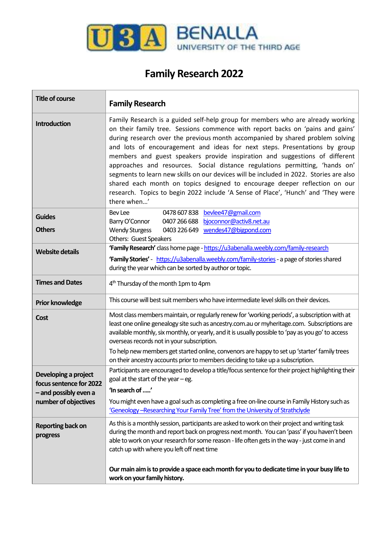

## **Family Research 2022**

| <b>Title of course</b>               | <b>Family Research</b>                                                                                                                                                                                                                                                                                                                                                                                                                                                                                                                                                                                                                                                                                                                                                      |  |
|--------------------------------------|-----------------------------------------------------------------------------------------------------------------------------------------------------------------------------------------------------------------------------------------------------------------------------------------------------------------------------------------------------------------------------------------------------------------------------------------------------------------------------------------------------------------------------------------------------------------------------------------------------------------------------------------------------------------------------------------------------------------------------------------------------------------------------|--|
| Introduction                         | Family Research is a guided self-help group for members who are already working<br>on their family tree. Sessions commence with report backs on 'pains and gains'<br>during research over the previous month accompanied by shared problem solving<br>and lots of encouragement and ideas for next steps. Presentations by group<br>members and guest speakers provide inspiration and suggestions of different<br>approaches and resources. Social distance regulations permitting, 'hands on'<br>segments to learn new skills on our devices will be included in 2022. Stories are also<br>shared each month on topics designed to encourage deeper reflection on our<br>research. Topics to begin 2022 include 'A Sense of Place', 'Hunch' and 'They were<br>there when' |  |
| <b>Guides</b>                        | 0478 607 838 bevlee47@gmail.com<br><b>Bev Lee</b>                                                                                                                                                                                                                                                                                                                                                                                                                                                                                                                                                                                                                                                                                                                           |  |
| <b>Others</b>                        | bjoconnor@activ8.net.au<br>Barry O'Connor<br>0407 266 688<br><b>Wendy Sturgess</b><br>0403 226 649 wendes47@bigpond.com                                                                                                                                                                                                                                                                                                                                                                                                                                                                                                                                                                                                                                                     |  |
|                                      | Others: Guest Speakers                                                                                                                                                                                                                                                                                                                                                                                                                                                                                                                                                                                                                                                                                                                                                      |  |
| <b>Website details</b>               | 'Family Research' class home page - https://u3abenalla.weebly.com/family-research<br>'Family Stories' - https://u3abenalla.weebly.com/family-stories - a page of stories shared                                                                                                                                                                                                                                                                                                                                                                                                                                                                                                                                                                                             |  |
|                                      | during the year which can be sorted by author or topic.                                                                                                                                                                                                                                                                                                                                                                                                                                                                                                                                                                                                                                                                                                                     |  |
| <b>Times and Dates</b>               | 4 <sup>th</sup> Thursday of the month 1pm to 4pm                                                                                                                                                                                                                                                                                                                                                                                                                                                                                                                                                                                                                                                                                                                            |  |
| <b>Prior knowledge</b>               | This course will best suit members who have intermediate level skills on their devices.                                                                                                                                                                                                                                                                                                                                                                                                                                                                                                                                                                                                                                                                                     |  |
| Cost                                 | Most class members maintain, or regularly renew for 'working periods', a subscription with at<br>least one online genealogy site such as ancestry.com.au or myheritage.com. Subscriptions are<br>available monthly, six monthly, or yearly, and it is usually possible to 'pay as you go' to access<br>overseas records not in your subscription.<br>To help new members get started online, convenors are happy to set up 'starter' family trees<br>on their ancestry accounts prior to members deciding to take up a subscription.                                                                                                                                                                                                                                        |  |
| Developing a project                 | Participants are encouraged to develop a title/focus sentence for their project highlighting their                                                                                                                                                                                                                                                                                                                                                                                                                                                                                                                                                                                                                                                                          |  |
| focus sentence for 2022              | goal at the start of the year $-$ eg.                                                                                                                                                                                                                                                                                                                                                                                                                                                                                                                                                                                                                                                                                                                                       |  |
| - and possibly even a                | 'In search of '                                                                                                                                                                                                                                                                                                                                                                                                                                                                                                                                                                                                                                                                                                                                                             |  |
| number of objectives                 | You might even have a goal such as completing a free on-line course in Family History such as<br>'Geneology -- Researching Your Family Tree' from the University of Strathclyde                                                                                                                                                                                                                                                                                                                                                                                                                                                                                                                                                                                             |  |
| <b>Reporting back on</b><br>progress | As this is a monthly session, participants are asked to work on their project and writing task<br>during the month and report back on progress next month. You can 'pass' if you haven't been<br>able to work on your research for some reason - life often gets in the way - just come in and<br>catch up with where you left off next time                                                                                                                                                                                                                                                                                                                                                                                                                                |  |
|                                      | Our main aim is to provide a space each month for you to dedicate time in your busy life to<br>work on your family history.                                                                                                                                                                                                                                                                                                                                                                                                                                                                                                                                                                                                                                                 |  |